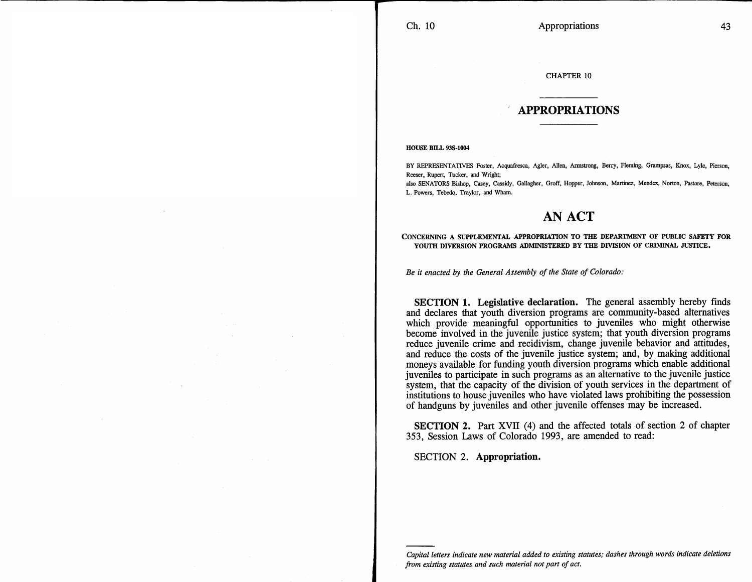## CHAPTER 10

## **APPROPRIATIONS**

HOUSE BILL 93S-1004

BY REPRESENTATIVES Foster, Acquafresca, Agler, Allen, Armstrong, Berry, Fleming, Grampsas, Knox, Lyle, Pierson, Reeser, Rupert, Tucker, and Wright;

also SENATORS Bishop, Casey, Cassidy, Gallagher, Groff, Hopper, Johnson, Martinez, Mendez, Norton, Pastore, Peterson, L. Powers, Tebedo, Traylor, and Wham.

## **AN ACT**

CONCERNING A SUPPLEMENTAL APPROPRIATION TO THE DEPARTMENT OF PUBLIC SAFETY FOR YOUTH DIVERSION PROGRAMS ADMINISTERED BY THE DIVISION OF CRIMINAL JUSTICE.

*Be it enacted by the General Assembly of the State of Colorado:* 

SECTION **1. Legislative declaration.** The general assembly hereby finds and declares that youth diversion programs are community-based alternatives which provide meaningful opportunities to juveniles who might otherwise become involved in the juvenile justice system; that youth diversion programs reduce juvenile crime and recidivism, change juvenile behavior and attitudes, and reduce the costs of the juvenile justice system; and, by making additional moneys available for funding youth diversion programs which enable additional juveniles to participate in such programs as an alternative to the juvenile justice system, that the capacity of the division of youth services in the department of institutions to house juveniles who have violated laws prohibiting the possession of handguns by juveniles and other juvenile offenses may be increased.

SECTION 2. Part XVII (4) and the affected totals of section 2 of chapter 353, Session Laws of Colorado 1993, are amended to read:

SECTION 2. **Appropriation.**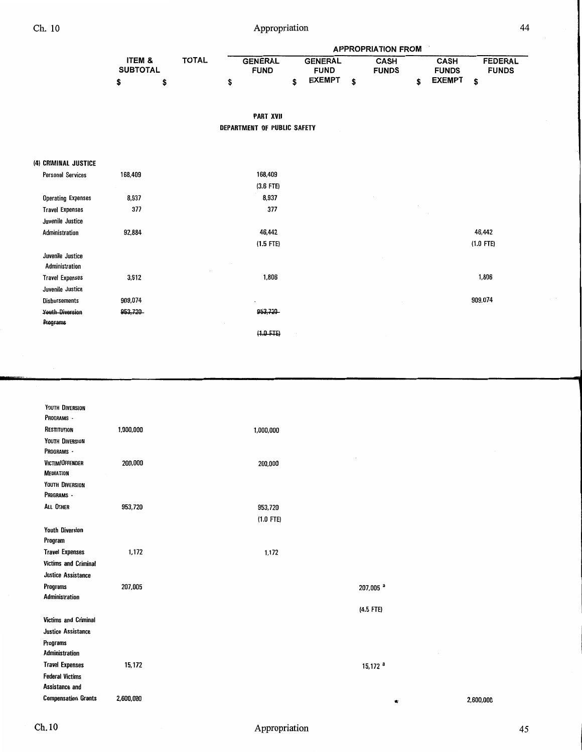Ch. 10 Appropriation 44

|                 |  |              | <b>APPROPRIATION FROM</b> |  |                |   |              |  |               |              |  |  |  |  |
|-----------------|--|--------------|---------------------------|--|----------------|---|--------------|--|---------------|--------------|--|--|--|--|
| ITEM &          |  | <b>TOTAL</b> | <b>GENERAL</b>            |  | <b>GENERAL</b> |   | CASH         |  | <b>CASH</b>   | FEDERAL      |  |  |  |  |
| <b>SUBTOTAL</b> |  |              | <b>FUND</b>               |  | <b>FUND</b>    |   | <b>FUNDS</b> |  | <b>FUNDS</b>  | <b>FUNDS</b> |  |  |  |  |
|                 |  |              |                           |  | <b>EXEMPT</b>  | ¢ |              |  | <b>EXEMPT</b> |              |  |  |  |  |

**PART XVII DEPARTMENT OF PUBLIC SAFETY** 

| (4) CRIMINAL JUSTICE |
|----------------------|
|----------------------|

| <b>Personal Services</b>  | 168,409 | 168,409     |             |
|---------------------------|---------|-------------|-------------|
|                           |         | $(3.6$ FTE) |             |
| <b>Operating Expenses</b> | 8,937   | 8,937       |             |
| <b>Travel Expenses</b>    | 377     | 377         |             |
| Juvenile Justice          |         |             |             |
| Administration            | 92,884  | 46,442      | 46,442      |
|                           |         | $(1.5$ FTE) | $(1.0$ FTE) |
| Juvenile Justice          |         |             |             |
| Administration            |         |             |             |
| <b>Travel Expenses</b>    | 3,612   | 1,806       | 1,806       |
| Juvenile Justice          |         |             |             |
| Disbursements             | 909,074 | $\sim$      | 909,074     |
| <b>Youth-Diversion</b>    | 953,720 | 953,720     |             |
| Programs                  |         |             |             |
|                           |         | $(1.0$ FTE) |             |

| YOUTH DIVERSION             |           |             |                       |        |           |
|-----------------------------|-----------|-------------|-----------------------|--------|-----------|
| PROGRAMS -                  |           |             |                       |        |           |
| RESTITUTION                 | 1,000,000 | 1,000,000   |                       |        |           |
| YOUTH DIVERSION             |           |             |                       |        |           |
| PROGRAMS -                  |           |             |                       |        |           |
| VICTIM/OFFENDER             | 200,000   | 200,000     |                       |        |           |
| <b>MEDIATION</b>            |           |             |                       |        |           |
| YOUTH DIVERSION             |           |             |                       |        |           |
| PROGRAMS -                  |           |             |                       |        |           |
| ALL OTHER                   | 953,720   | 953,720     |                       |        |           |
|                             |           | $(1.0$ FTE) |                       |        |           |
| <b>Youth Diversion</b>      |           |             |                       |        |           |
| Program                     |           |             |                       |        |           |
| <b>Travel Expenses</b>      | 1,172     | 1,172       |                       |        |           |
| <b>Victims and Criminal</b> |           |             |                       |        |           |
| Justice Assistance          |           |             |                       |        |           |
| Programs                    | 207,005   |             | 207,005 <sup>a</sup>  |        |           |
| Administration              |           |             |                       |        |           |
|                             |           |             | (4.5 FTE)             |        |           |
| <b>Victims and Criminal</b> |           |             |                       |        |           |
| Justice Assistance          |           |             |                       |        |           |
| Programs                    |           |             |                       |        |           |
| <b>Administration</b>       |           |             |                       | $\sim$ |           |
| <b>Travel Expenses</b>      | 15,172    |             | $15,172$ <sup>a</sup> |        |           |
| <b>Federal Victims</b>      |           |             |                       |        |           |
| Assistance and              |           |             |                       |        |           |
| <b>Compensation Grants</b>  | 2,600,000 |             |                       | ŧ      | 2,600,000 |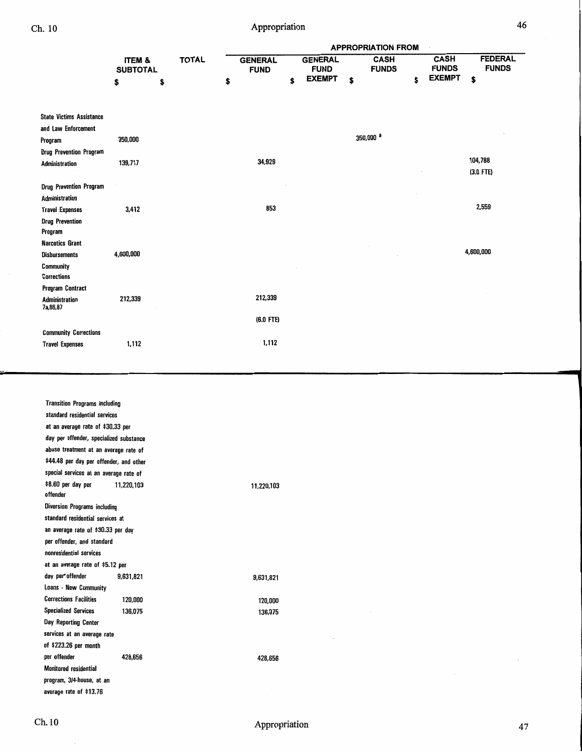|                                     |                                      |              | <b>APPROPRIATION FROM</b>     |    |                               |                             |    |                             |                                |  |
|-------------------------------------|--------------------------------------|--------------|-------------------------------|----|-------------------------------|-----------------------------|----|-----------------------------|--------------------------------|--|
|                                     | <b>ITEM &amp;</b><br><b>SUBTOTAL</b> | <b>TOTAL</b> | <b>GENERAL</b><br><b>FUND</b> |    | <b>GENERAL</b><br><b>FUND</b> | <b>CASH</b><br><b>FUNDS</b> |    | <b>CASH</b><br><b>FUNDS</b> | <b>FEDERAL</b><br><b>FUNDS</b> |  |
|                                     | \$                                   | \$           | \$                            | \$ | <b>EXEMPT</b>                 | \$                          | \$ | <b>EXEMPT</b>               | \$                             |  |
| <b>State Victims Assistance</b>     |                                      |              |                               |    |                               |                             |    |                             |                                |  |
| and Law Enforcement                 |                                      |              |                               |    |                               |                             |    |                             |                                |  |
| Program                             | 350,000                              |              |                               |    |                               | 350,000 <sup>a</sup>        |    |                             |                                |  |
| <b>Drug Prevention Program</b>      |                                      |              |                               |    |                               |                             |    |                             |                                |  |
| Administration                      | 139,717                              |              | 34,929                        |    |                               |                             |    |                             | 104,788                        |  |
|                                     |                                      |              |                               |    |                               |                             |    |                             | $(3.0$ FTE)                    |  |
| <b>Drug Prevention Program</b>      |                                      |              |                               |    |                               |                             |    |                             |                                |  |
| Administration                      |                                      |              |                               |    |                               |                             |    |                             |                                |  |
| <b>Travel Expenses</b>              | 3,412                                |              | 853                           |    |                               |                             |    |                             | 2,559                          |  |
| <b>Drug Prevention</b><br>Program   |                                      |              |                               |    |                               |                             |    |                             |                                |  |
| <b>Narcotics Grant</b>              |                                      |              |                               |    |                               |                             |    |                             |                                |  |
| <b>Disbursements</b>                | 4,600,000                            |              |                               |    |                               |                             |    |                             | 4,600,000                      |  |
| Community<br><b>Corrections</b>     |                                      |              |                               |    |                               |                             |    |                             |                                |  |
| <b>Program Contract</b>             |                                      |              |                               |    |                               |                             |    |                             |                                |  |
| <b>Administration</b><br>7a, 86, 87 | 212,339                              |              | 212,339                       |    |                               |                             |    |                             |                                |  |
|                                     |                                      |              | $(6.0$ FTE)                   |    |                               |                             |    |                             |                                |  |
| <b>Community Corrections</b>        |                                      |              |                               |    |                               |                             |    |                             |                                |  |
| <b>Travel Expenses</b>              | 1,112                                |              | 1,112                         |    |                               |                             |    |                             |                                |  |

| <b>Transition Programs including</b>    |            |            |  |
|-----------------------------------------|------------|------------|--|
| standard residential services           |            |            |  |
| at an average rate of \$30.33 per       |            |            |  |
| day per offender, specialized substance |            |            |  |
| abuse treatment at an average rate of   |            |            |  |
| \$44.48 per day per offender, and other |            |            |  |
| special services at an average rate of  |            |            |  |
| \$8.60 per day per<br>offender          | 11,220,103 | 11,220,103 |  |
| Diversion Programs including            |            |            |  |
| standard residential services at        |            |            |  |
| an average rate of \$30.33 per day      |            |            |  |
| per offender, and standard              |            |            |  |
| nonresidential services                 |            |            |  |
| at an average rate of \$5.12 per        |            |            |  |
| day per offender                        | 9,631,821  | 9,631,821  |  |
| Loans - New Community                   |            |            |  |
| <b>Corrections Facilities</b>           | 120,000    | 120,000    |  |
| <b>Specialized Services</b>             | 136,075    | 136.075    |  |
| Day Reporting Center                    |            |            |  |
| services at an average rate             |            |            |  |
| of \$223.26 per month                   |            |            |  |
| per offender                            | 428,656    | 428,656    |  |
| Monitored residential                   |            |            |  |
| program, 3/4-house, at an               |            |            |  |
| average rate of \$13.76                 |            |            |  |